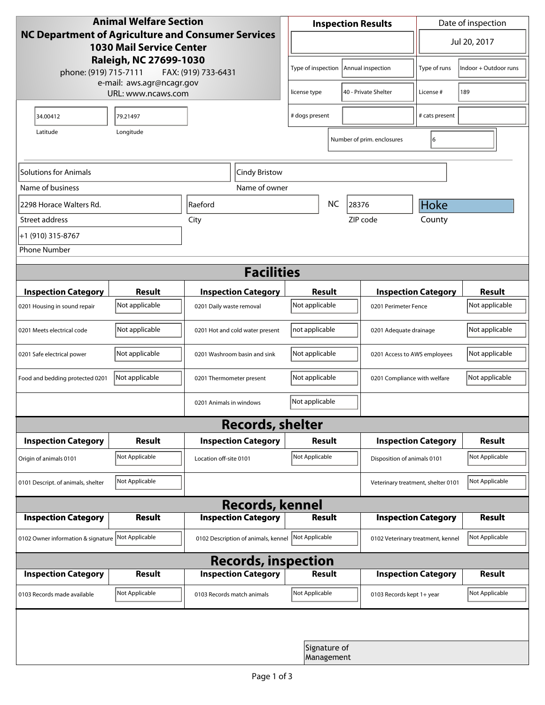| <b>Animal Welfare Section</b>                                                                |                |                                     |                                         |                            | <b>Inspection Results</b>  | Date of inspection                 |                |  |
|----------------------------------------------------------------------------------------------|----------------|-------------------------------------|-----------------------------------------|----------------------------|----------------------------|------------------------------------|----------------|--|
| <b>NC Department of Agriculture and Consumer Services</b><br><b>1030 Mail Service Center</b> |                |                                     |                                         | ▼                          |                            |                                    | Jul 20, 2017   |  |
| Raleigh, NC 27699-1030<br>phone: (919) 715-7111<br>FAX: (919) 733-6431                       |                |                                     | Type of inspection<br>Annual inspection |                            | Type of runs               | Indoor + Outdoor runs              |                |  |
| e-mail: aws.agr@ncagr.gov<br>URL: www.ncaws.com                                              |                |                                     | 40 - Private Shelter<br>license type    |                            |                            | License #                          | 189            |  |
| 34.00412                                                                                     | 79.21497       |                                     | # dogs present                          |                            |                            | # cats present                     |                |  |
| Latitude                                                                                     | Longitude      |                                     |                                         |                            | Number of prim. enclosures | 6                                  |                |  |
| Solutions for Animals                                                                        |                | Cindy Bristow                       |                                         |                            |                            |                                    |                |  |
| Name of business                                                                             |                | Name of owner                       |                                         |                            |                            |                                    |                |  |
| 2298 Horace Walters Rd.                                                                      |                | <b>Raeford</b>                      |                                         | <b>NC</b>                  | 28376                      | Hoke                               |                |  |
| Street address                                                                               |                | City                                |                                         |                            | ZIP code                   | County                             |                |  |
| +1 (910) 315-8767                                                                            |                |                                     |                                         |                            |                            |                                    |                |  |
| <b>Phone Number</b>                                                                          |                |                                     |                                         |                            |                            |                                    |                |  |
| <b>Facilities</b>                                                                            |                |                                     |                                         |                            |                            |                                    |                |  |
| <b>Inspection Category</b>                                                                   | <b>Result</b>  | <b>Inspection Category</b>          | Result                                  |                            |                            | <b>Inspection Category</b>         |                |  |
| 0201 Housing in sound repair                                                                 | Not applicable | 0201 Daily waste removal            | Not applicable                          |                            |                            | 0201 Perimeter Fence               |                |  |
| 0201 Meets electrical code                                                                   | Not applicable | 0201 Hot and cold water present     | not applicable                          |                            |                            | 0201 Adequate drainage             |                |  |
| 0201 Safe electrical power                                                                   | Not applicable | 0201 Washroom basin and sink        | Not applicable                          |                            |                            | 0201 Access to AWS employees       |                |  |
| Food and bedding protected 0201                                                              | Not applicable | 0201 Thermometer present            | Not applicable                          |                            |                            | 0201 Compliance with welfare       |                |  |
|                                                                                              |                | 0201 Animals in windows             | Not applicable                          |                            |                            |                                    |                |  |
| <b>Records, shelter</b>                                                                      |                |                                     |                                         |                            |                            |                                    |                |  |
| <b>Inspection Category</b>                                                                   | <b>Result</b>  | <b>Inspection Category</b>          | <b>Result</b>                           |                            |                            | <b>Inspection Category</b>         | <b>Result</b>  |  |
| Origin of animals 0101                                                                       | Not Applicable | Location off-site 0101              | Not Applicable                          |                            |                            | Disposition of animals 0101        |                |  |
| 0101 Descript. of animals, shelter                                                           | Not Applicable |                                     |                                         |                            |                            | Veterinary treatment, shelter 0101 | Not Applicable |  |
|                                                                                              |                | <b>Records, kennel</b>              |                                         |                            |                            |                                    |                |  |
| <b>Inspection Category</b>                                                                   | Result         | <b>Inspection Category</b>          |                                         | <b>Result</b>              |                            | <b>Inspection Category</b>         | Result         |  |
| 0102 Owner information & signature Not Applicable                                            |                | 0102 Description of animals, kennel | Not Applicable                          |                            |                            | 0102 Veterinary treatment, kennel  | Not Applicable |  |
| <b>Records, inspection</b>                                                                   |                |                                     |                                         |                            |                            |                                    |                |  |
| <b>Inspection Category</b>                                                                   | <b>Result</b>  | <b>Inspection Category</b>          |                                         | Result                     |                            | <b>Inspection Category</b>         | <b>Result</b>  |  |
| 0103 Records made available                                                                  | Not Applicable | 0103 Records match animals          | Not Applicable                          |                            | 0103 Records kept 1+ year  |                                    | Not Applicable |  |
|                                                                                              |                |                                     |                                         |                            |                            |                                    |                |  |
|                                                                                              |                |                                     |                                         | Signature of<br>Management |                            |                                    |                |  |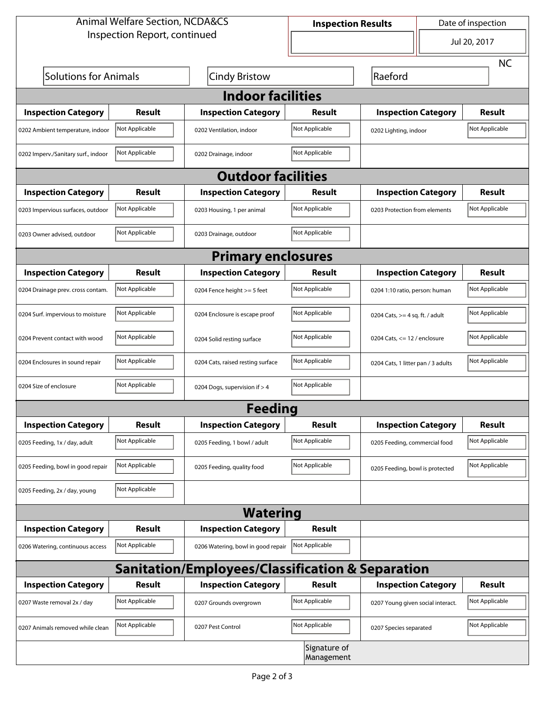| <b>Animal Welfare Section, NCDA&amp;CS</b> |                |                                                  | <b>Inspection Results</b>                           |                                    | Date of inspection |                |  |
|--------------------------------------------|----------------|--------------------------------------------------|-----------------------------------------------------|------------------------------------|--------------------|----------------|--|
| Inspection Report, continued               |                |                                                  |                                                     | $\blacktriangledown$               |                    | Jul 20, 2017   |  |
|                                            |                |                                                  |                                                     |                                    |                    | <b>NC</b>      |  |
| <b>Solutions for Animals</b>               |                | <b>Cindy Bristow</b>                             |                                                     | Raeford                            |                    |                |  |
| <b>Indoor facilities</b>                   |                |                                                  |                                                     |                                    |                    |                |  |
| <b>Inspection Category</b>                 | <b>Result</b>  | <b>Inspection Category</b>                       | Result                                              | <b>Inspection Category</b>         |                    | <b>Result</b>  |  |
| 0202 Ambient temperature, indoor           | Not Applicable | 0202 Ventilation, indoor                         | Not Applicable                                      | 0202 Lighting, indoor              |                    | Not Applicable |  |
| 0202 Imperv./Sanitary surf., indoor        | Not Applicable | 0202 Drainage, indoor                            | Not Applicable                                      |                                    |                    |                |  |
| <b>Outdoor facilities</b>                  |                |                                                  |                                                     |                                    |                    |                |  |
| <b>Inspection Category</b>                 | <b>Result</b>  | <b>Inspection Category</b>                       | Result                                              | <b>Inspection Category</b>         |                    | <b>Result</b>  |  |
| 0203 Impervious surfaces, outdoor          | Not Applicable | 0203 Housing, 1 per animal                       | Not Applicable                                      | 0203 Protection from elements      |                    | Not Applicable |  |
| 0203 Owner advised, outdoor                | Not Applicable | 0203 Drainage, outdoor                           | Not Applicable                                      |                                    |                    |                |  |
|                                            |                | <b>Primary enclosures</b>                        |                                                     |                                    |                    |                |  |
| <b>Inspection Category</b>                 | Result         | <b>Inspection Category</b>                       | <b>Result</b>                                       | <b>Inspection Category</b>         |                    | <b>Result</b>  |  |
| 0204 Drainage prev. cross contam.          | Not Applicable | 0204 Fence height >= 5 feet                      | Not Applicable                                      | 0204 1:10 ratio, person: human     |                    | Not Applicable |  |
| 0204 Surf. impervious to moisture          | Not Applicable | 0204 Enclosure is escape proof                   | Not Applicable                                      | 0204 Cats, $>=$ 4 sq. ft. / adult  |                    | Not Applicable |  |
| 0204 Prevent contact with wood             | Not Applicable | 0204 Solid resting surface                       | Not Applicable                                      | 0204 Cats, $<= 12$ / enclosure     |                    | Not Applicable |  |
| 0204 Enclosures in sound repair            | Not Applicable | 0204 Cats, raised resting surface                | Not Applicable                                      | 0204 Cats, 1 litter pan / 3 adults |                    | Not Applicable |  |
| 0204 Size of enclosure                     | Not Applicable | 0204 Dogs, supervision if > 4                    | Not Applicable                                      |                                    |                    |                |  |
|                                            |                | <b>Feeding</b>                                   |                                                     |                                    |                    |                |  |
| <b>Inspection Category</b>                 | <b>Result</b>  | <b>Inspection Category</b>                       | <b>Result</b>                                       | <b>Inspection Category</b>         |                    | Result         |  |
| 0205 Feeding, 1x / day, adult              | Not Applicable | 0205 Feeding, 1 bowl / adult                     | Not Applicable                                      | 0205 Feeding, commercial food      |                    | Not Applicable |  |
| 0205 Feeding, bowl in good repair          | Not Applicable | 0205 Feeding, quality food                       | Not Applicable                                      | 0205 Feeding, bowl is protected    |                    | Not Applicable |  |
| 0205 Feeding, 2x / day, young              | Not Applicable |                                                  |                                                     |                                    |                    |                |  |
|                                            |                | <b>Watering</b>                                  |                                                     |                                    |                    |                |  |
| <b>Inspection Category</b>                 | Result         | <b>Inspection Category</b>                       | <b>Result</b>                                       |                                    |                    |                |  |
| 0206 Watering, continuous access           | Not Applicable | 0206 Watering, bowl in good repair               | Not Applicable                                      |                                    |                    |                |  |
|                                            |                | Sanitation/Employees/Classification & Separation |                                                     |                                    |                    |                |  |
| <b>Inspection Category</b>                 | <b>Result</b>  | <b>Inspection Category</b>                       | <b>Result</b>                                       | <b>Inspection Category</b>         |                    | Result         |  |
| 0207 Waste removal 2x / day                | Not Applicable | 0207 Grounds overgrown                           | Not Applicable<br>0207 Young given social interact. |                                    | Not Applicable     |                |  |
| 0207 Animals removed while clean           | Not Applicable | 0207 Pest Control                                | Not Applicable                                      | 0207 Species separated             |                    | Not Applicable |  |
|                                            |                |                                                  | Signature of<br>Management                          |                                    |                    |                |  |